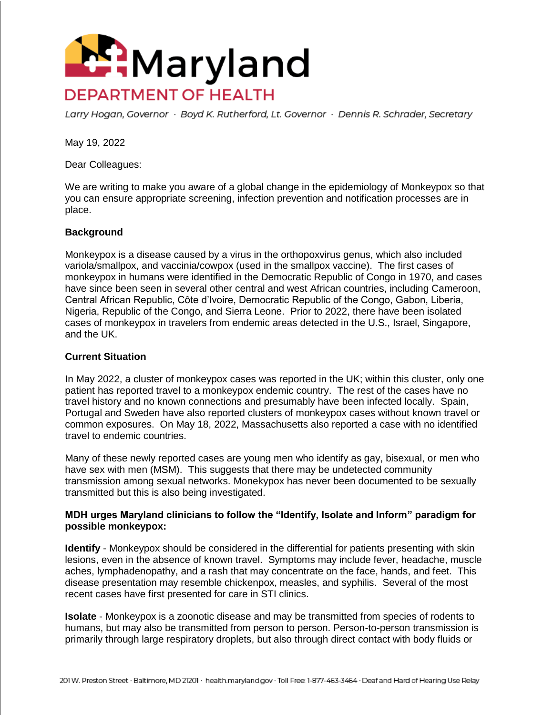

Larry Hogan, Governor · Boyd K. Rutherford, Lt. Governor · Dennis R. Schrader, Secretary

May 19, 2022

Dear Colleagues:

We are writing to make you aware of a global change in the epidemiology of Monkeypox so that you can ensure appropriate screening, infection prevention and notification processes are in place.

## **Background**

Monkeypox is a disease caused by a virus in the orthopoxvirus genus, which also included variola/smallpox, and vaccinia/cowpox (used in the smallpox vaccine). The first cases of monkeypox in humans were identified in the Democratic Republic of Congo in 1970, and cases have since been seen in several other central and west African countries, including Cameroon, Central African Republic, Côte d'Ivoire, Democratic Republic of the Congo, Gabon, Liberia, Nigeria, Republic of the Congo, and Sierra Leone. Prior to 2022, there have been isolated cases of monkeypox in travelers from endemic areas detected in the U.S., Israel, Singapore, and the UK.

## **Current Situation**

In May 2022, a cluster of monkeypox cases was reported in the UK; within this cluster, only one patient has reported travel to a monkeypox endemic country. The rest of the cases have no travel history and no known connections and presumably have been infected locally. Spain, Portugal and Sweden have also reported clusters of monkeypox cases without known travel or common exposures. On May 18, 2022, Massachusetts also reported a case with no identified travel to endemic countries.

Many of these newly reported cases are young men who identify as gay, bisexual, or men who have sex with men (MSM). This suggests that there may be undetected community transmission among sexual networks. Monekypox has never been documented to be sexually transmitted but this is also being investigated.

## **MDH urges Maryland clinicians to follow the "Identify, Isolate and Inform" paradigm for possible monkeypox:**

**Identify** - Monkeypox should be considered in the differential for patients presenting with skin lesions, even in the absence of known travel. Symptoms may include fever, headache, muscle aches, lymphadenopathy, and a rash that may concentrate on the face, hands, and feet. This disease presentation may resemble chickenpox, measles, and syphilis. Several of the most recent cases have first presented for care in STI clinics.

**Isolate** - Monkeypox is a zoonotic disease and may be transmitted from species of rodents to humans, but may also be transmitted from person to person. Person-to-person transmission is primarily through large respiratory droplets, but also through direct contact with body fluids or